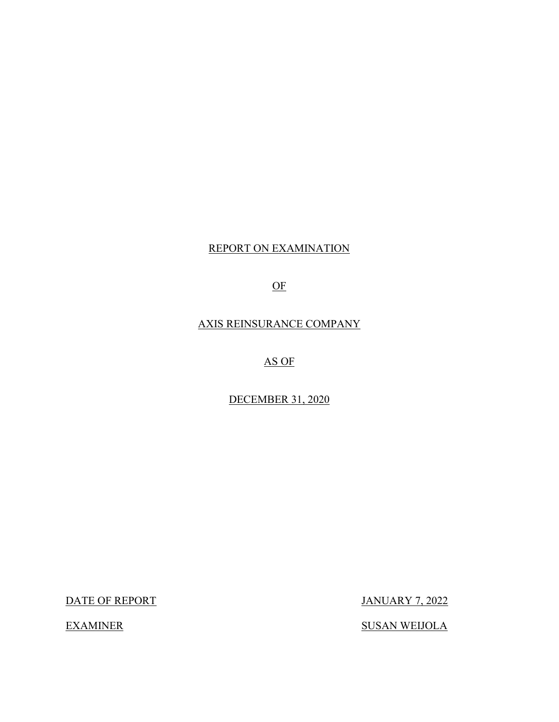# REPORT ON EXAMINATION

OF

AXIS REINSURANCE COMPANY

AS OF

DECEMBER 31, 2020

DATE OF REPORT JANUARY 7, 2022

**EXAMINER** 

**SUSAN WEIJOLA**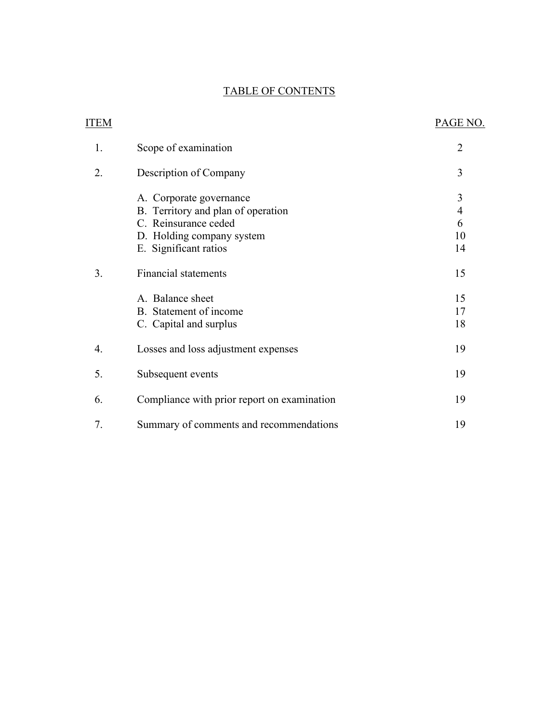### TABLE OF CONTENTS

| <b>ITEM</b> |                                                                                       | PAGE NO.                 |
|-------------|---------------------------------------------------------------------------------------|--------------------------|
| 1.          | Scope of examination                                                                  | $\overline{2}$           |
| 2.          | Description of Company                                                                | 3                        |
|             | A. Corporate governance<br>B. Territory and plan of operation<br>C. Reinsurance ceded | 3<br>$\overline{4}$<br>6 |
|             | D. Holding company system                                                             | 10                       |
|             | E. Significant ratios                                                                 | 14                       |
| 3.          | <b>Financial statements</b>                                                           | 15                       |
|             | A. Balance sheet                                                                      | 15                       |
|             | B. Statement of income                                                                | 17                       |
|             | C. Capital and surplus                                                                | 18                       |
| 4.          | Losses and loss adjustment expenses                                                   | 19                       |
| 5.          | Subsequent events                                                                     | 19                       |
| 6.          | Compliance with prior report on examination                                           | 19                       |
| 7.          | Summary of comments and recommendations                                               | 19                       |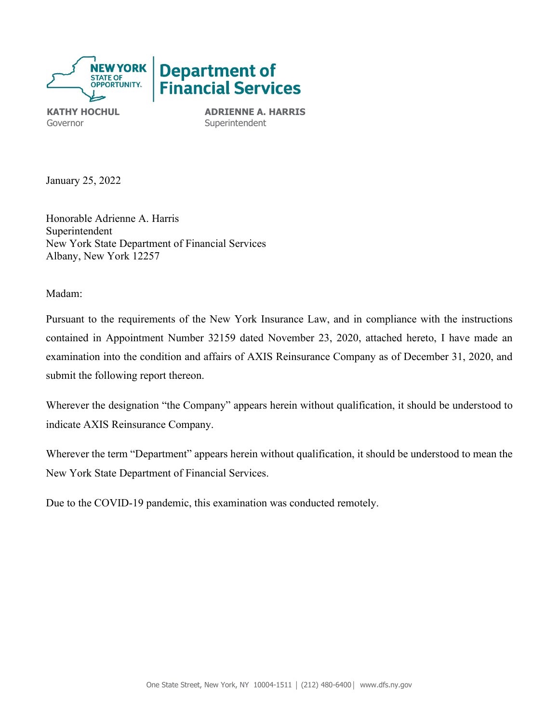

Governor **Superintendent** 

**KATHY HOCHUL ADRIENNE A. HARRIS** 

January 25, 2022

 Honorable Adrienne A. Harris Superintendent New York State Department of Financial Services Albany, New York 12257

Madam:

Pursuant to the requirements of the New York Insurance Law, and in compliance with the instructions contained in Appointment Number 32159 dated November 23, 2020, attached hereto, I have made an examination into the condition and affairs of AXIS Reinsurance Company as of December 31, 2020, and submit the following report thereon.

Wherever the designation "the Company" appears herein without qualification, it should be understood to indicate AXIS Reinsurance Company.

Wherever the term "Department" appears herein without qualification, it should be understood to mean the New York State Department of Financial Services.

Due to the COVID-19 pandemic, this examination was conducted remotely.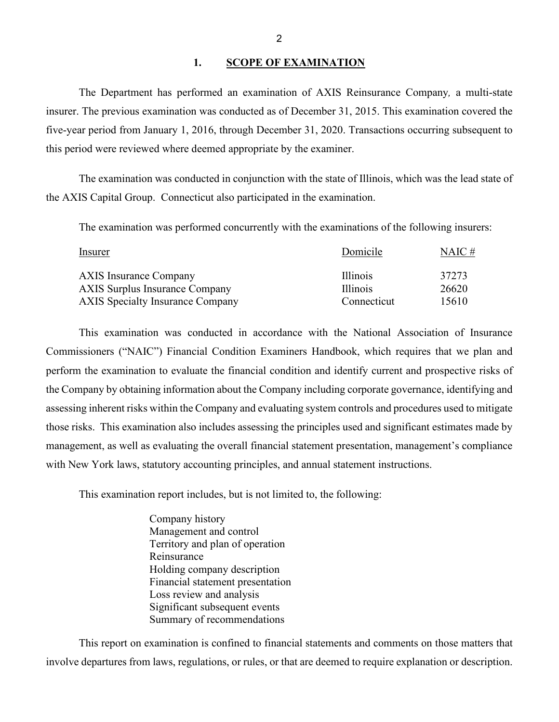### 1. **SCOPE OF EXAMINATION**

<span id="page-3-0"></span>The Department has performed an examination of AXIS Reinsurance Company*,* a multi-state insurer. The previous examination was conducted as of December 31, 2015. This examination covered the five-year period from January 1, 2016, through December 31, 2020. Transactions occurring subsequent to this period were reviewed where deemed appropriate by the examiner.

The examination was conducted in conjunction with the state of Illinois, which was the lead state of the AXIS Capital Group. Connecticut also participated in the examination.

| The examination was performed concurrently with the examinations of the following insurers: |             |           |  |
|---------------------------------------------------------------------------------------------|-------------|-----------|--|
| Insurer                                                                                     | Domicile    | $NAIC \#$ |  |
| <b>AXIS Insurance Company</b>                                                               | Illinois    | 37273     |  |
| <b>AXIS Surplus Insurance Company</b>                                                       | Illinois    | 26620     |  |
| <b>AXIS Specialty Insurance Company</b>                                                     | Connecticut | 15610     |  |

 This examination was conducted in accordance with the National Association of Insurance those risks. This examination also includes assessing the principles used and significant estimates made by with New York laws, statutory accounting principles, and annual statement instructions. Commissioners ("NAIC") Financial Condition Examiners Handbook, which requires that we plan and perform the examination to evaluate the financial condition and identify current and prospective risks of the Company by obtaining information about the Company including corporate governance, identifying and assessing inherent risks within the Company and evaluating system controls and procedures used to mitigate management, as well as evaluating the overall financial statement presentation, management's compliance

This examination report includes, but is not limited to, the following:

Company history Management and control Territory and plan of operation Reinsurance Holding company description Financial statement presentation Loss review and analysis Significant subsequent events Summary of recommendations

 This report on examination is confined to financial statements and comments on those matters that involve departures from laws, regulations, or rules, or that are deemed to require explanation or description.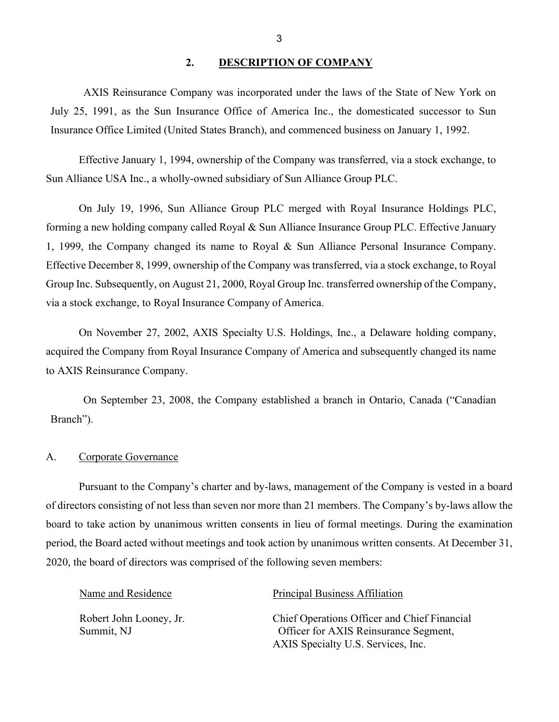### <span id="page-4-0"></span>**2. DESCRIPTION OF COMPANY**

 AXIS Reinsurance Company was incorporated under the laws of the State of New York on July 25, 1991, as the Sun Insurance Office of America Inc., the domesticated successor to Sun Insurance Office Limited (United States Branch), and commenced business on January 1, 1992.

 Effective January 1, 1994, ownership of the Company was transferred, via a stock exchange, to Sun Alliance USA Inc., a wholly-owned subsidiary of Sun Alliance Group PLC.

 forming a new holding company called Royal & Sun Alliance Insurance Group PLC. Effective January Group Inc. Subsequently, on August 21, 2000, Royal Group Inc. transferred ownership of the Company, via a stock exchange, to Royal Insurance Company of America. On July 19, 1996, Sun Alliance Group PLC merged with Royal Insurance Holdings PLC, 1, 1999, the Company changed its name to Royal & Sun Alliance Personal Insurance Company. Effective December 8, 1999, ownership of the Company was transferred, via a stock exchange, to Royal

 On November 27, 2002, AXIS Specialty U.S. Holdings, Inc., a Delaware holding company, to AXIS Reinsurance Company. acquired the Company from Royal Insurance Company of America and subsequently changed its name

On September 23, 2008, the Company established a branch in Ontario, Canada ("Canadian Branch").

### <span id="page-4-1"></span>A. Corporate Governance

 board to take action by unanimous written consents in lieu of formal meetings. During the examination Pursuant to the Company's charter and by-laws, management of the Company is vested in a board of directors consisting of not less than seven nor more than 21 members. The Company's by-laws allow the period, the Board acted without meetings and took action by unanimous written consents. At December 31, 2020, the board of directors was comprised of the following seven members:

| Name and Residence                    | <b>Principal Business Affiliation</b>                                                                                       |
|---------------------------------------|-----------------------------------------------------------------------------------------------------------------------------|
| Robert John Looney, Jr.<br>Summit, NJ | Chief Operations Officer and Chief Financial<br>Officer for AXIS Reinsurance Segment,<br>AXIS Specialty U.S. Services, Inc. |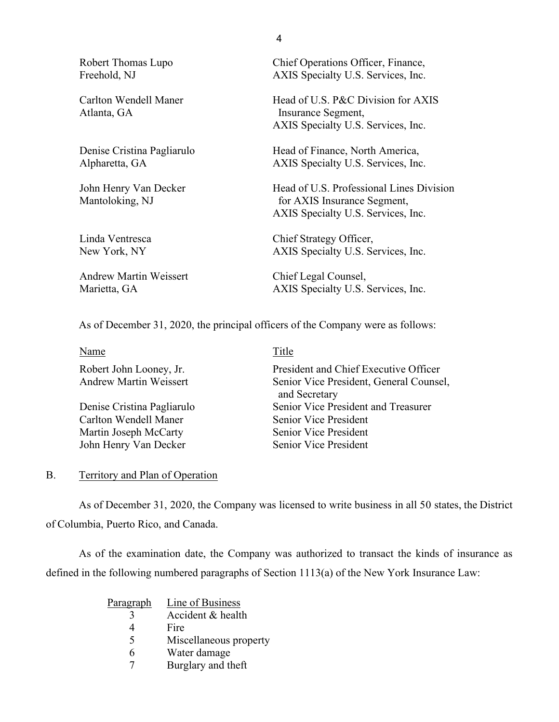Atlanta, GA Insurance Segment,

Andrew Martin Weissert Chief Legal Counsel,

Robert Thomas Lupo Chief Operations Officer, Finance, Freehold, NJ AXIS Specialty U.S. Services, Inc.

Carlton Wendell Maner Head of U.S. P&C Division for AXIS AXIS Specialty U.S. Services, Inc.

Denise Cristina Pagliarulo Head of Finance, North America, Alpharetta, GA AXIS Specialty U.S. Services, Inc.

John Henry Van Decker Head of U.S. Professional Lines Division Mantoloking, NJ for AXIS Insurance Segment, AXIS Specialty U.S. Services, Inc.

Linda Ventresca Chief Strategy Officer, New York, NY AXIS Specialty U.S. Services, Inc.

Marietta, GA AXIS Specialty U.S. Services, Inc.

As of December 31, 2020, the principal officers of the Company were as follows:

| Name                          | Title                                                    |
|-------------------------------|----------------------------------------------------------|
| Robert John Looney, Jr.       | President and Chief Executive Officer                    |
| <b>Andrew Martin Weissert</b> | Senior Vice President, General Counsel,<br>and Secretary |
| Denise Cristina Pagliarulo    | Senior Vice President and Treasurer                      |
| Carlton Wendell Maner         | Senior Vice President                                    |
| Martin Joseph McCarty         | <b>Senior Vice President</b>                             |
| John Henry Van Decker         | Senior Vice President                                    |
|                               |                                                          |

### <span id="page-5-0"></span>B. Territory and Plan of Operation

 As of December 31, 2020, the Company was licensed to write business in all 50 states, the District of Columbia, Puerto Rico, and Canada.

As of the examination date, the Company was authorized to transact the kinds of insurance as defined in the following numbered paragraphs of Section 1113(a) of the New York Insurance Law:

| <u>Paragraph</u> | Line of Business       |
|------------------|------------------------|
|                  | Accident & health      |
|                  | Fire                   |
| 5                | Miscellaneous property |
| 6                | Water damage           |
|                  | Burglary and theft     |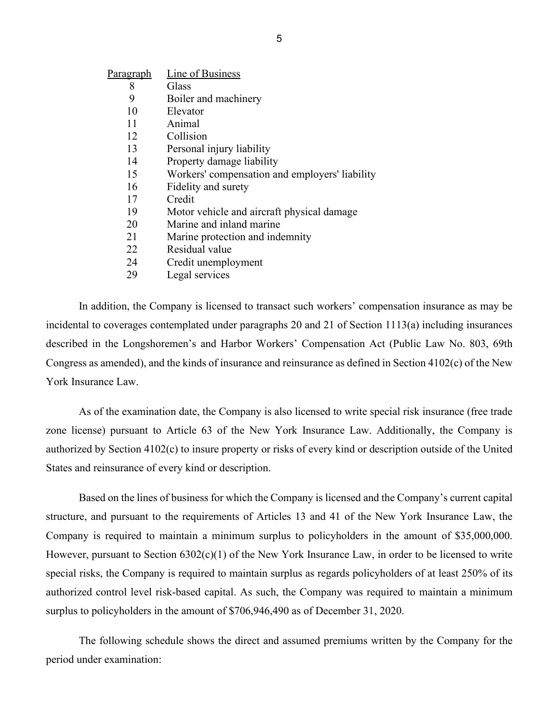| Paragraph | Line of Business                               |
|-----------|------------------------------------------------|
| 8         | Glass                                          |
| 9         | Boiler and machinery                           |
| 10        | Elevator                                       |
| 11        | Animal                                         |
| 12        | Collision                                      |
| 13        | Personal injury liability                      |
| 14        | Property damage liability                      |
| 15        | Workers' compensation and employers' liability |
| 16        | Fidelity and surety                            |
| 17        | Credit                                         |
| 19        | Motor vehicle and aircraft physical damage     |
| 20        | Marine and inland marine                       |
| 21        | Marine protection and indemnity                |
| 22        | Residual value                                 |
| 24        | Credit unemployment                            |

29 Legal services

In addition, the Company is licensed to transact such workers' compensation insurance as may be incidental to coverages contemplated under paragraphs 20 and 21 of Section 1113(a) including insurances described in the Longshoremen's and Harbor Workers' Compensation Act (Public Law No. 803, 69th Congress as amended), and the kinds of insurance and reinsurance as defined in Section 4102(c) of the New York Insurance Law.

 authorized by Section 4102(c) to insure property or risks of every kind or description outside of the United As of the examination date, the Company is also licensed to write special risk insurance (free trade zone license) pursuant to Article 63 of the New York Insurance Law. Additionally, the Company is States and reinsurance of every kind or description.

 structure, and pursuant to the requirements of Articles 13 and 41 of the New York Insurance Law, the Company is required to maintain a minimum surplus to policyholders in the amount of \$35,000,000. Based on the lines of business for which the Company is licensed and the Company's current capital However, pursuant to Section 6302(c)(1) of the New York Insurance Law, in order to be licensed to write special risks, the Company is required to maintain surplus as regards policyholders of at least 250% of its authorized control level risk-based capital. As such, the Company was required to maintain a minimum surplus to policyholders in the amount of \$706,946,490 as of December 31, 2020.

The following schedule shows the direct and assumed premiums written by the Company for the period under examination: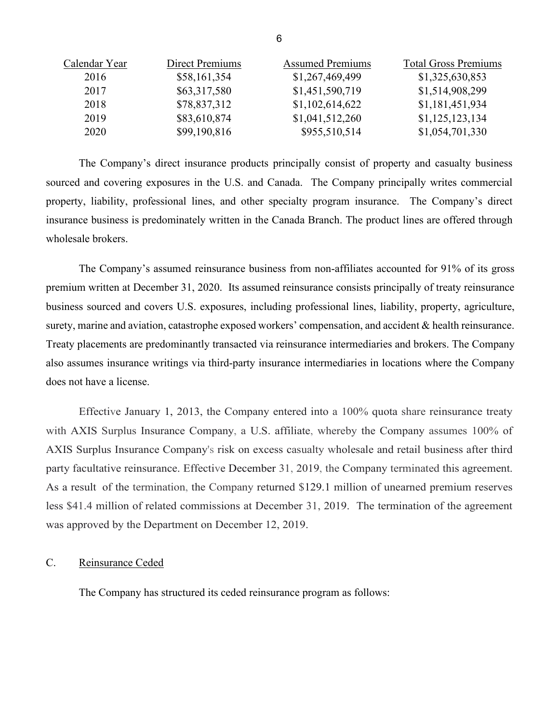| Calendar Year | Direct Premiums | <b>Assumed Premiums</b> | <b>Total Gross Premiums</b> |
|---------------|-----------------|-------------------------|-----------------------------|
| 2016          | \$58,161,354    | \$1,267,469,499         | \$1,325,630,853             |
| 2017          | \$63,317,580    | \$1,451,590,719         | \$1,514,908,299             |
| 2018          | \$78,837,312    | \$1,102,614,622         | \$1,181,451,934             |
| 2019          | \$83,610,874    | \$1,041,512,260         | \$1,125,123,134             |
| 2020          | \$99,190,816    | \$955,510,514           | \$1,054,701,330             |

The Company's direct insurance products principally consist of property and casualty business sourced and covering exposures in the U.S. and Canada. The Company principally writes commercial property, liability, professional lines, and other specialty program insurance. The Company's direct insurance business is predominately written in the Canada Branch. The product lines are offered through wholesale brokers.

 premium written at December 31, 2020. Its assumed reinsurance consists principally of treaty reinsurance surety, marine and aviation, catastrophe exposed workers' compensation, and accident & health reinsurance. also assumes insurance writings via third-party insurance intermediaries in locations where the Company The Company's assumed reinsurance business from non-affiliates accounted for 91% of its gross business sourced and covers U.S. exposures, including professional lines, liability, property, agriculture, Treaty placements are predominantly transacted via reinsurance intermediaries and brokers. The Company does not have a license.

 with AXIS Surplus Insurance Company, a U.S. affiliate, whereby the Company assumes 100% of As a result of the termination, the Company returned \$129.1 million of unearned premium reserves less \$41.4 million of related commissions at December 31, 2019. The termination of the agreement Effective January 1, 2013, the Company entered into a 100% quota share reinsurance treaty AXIS Surplus Insurance Company's risk on excess casualty wholesale and retail business after third party facultative reinsurance. Effective December 31, 2019, the Company terminated this agreement. was approved by the Department on December 12, 2019.

### <span id="page-7-0"></span>C. Reinsurance Ceded

The Company has structured its ceded reinsurance program as follows: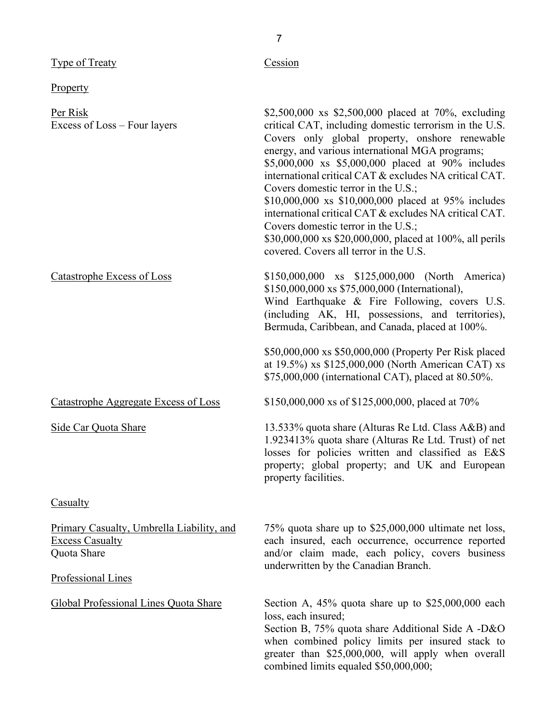| <b>Type of Treaty</b>                                                                                           | Cession                                                                                                                                                                                                                                                                                                                                                                                                                                                                                                                                                                                                                                |
|-----------------------------------------------------------------------------------------------------------------|----------------------------------------------------------------------------------------------------------------------------------------------------------------------------------------------------------------------------------------------------------------------------------------------------------------------------------------------------------------------------------------------------------------------------------------------------------------------------------------------------------------------------------------------------------------------------------------------------------------------------------------|
| <b>Property</b>                                                                                                 |                                                                                                                                                                                                                                                                                                                                                                                                                                                                                                                                                                                                                                        |
| Per Risk<br>Excess of Loss – Four layers                                                                        | \$2,500,000 xs \$2,500,000 placed at 70%, excluding<br>critical CAT, including domestic terrorism in the U.S.<br>Covers only global property, onshore renewable<br>energy, and various international MGA programs;<br>\$5,000,000 xs \$5,000,000 placed at 90% includes<br>international critical CAT & excludes NA critical CAT.<br>Covers domestic terror in the U.S.;<br>\$10,000,000 xs \$10,000,000 placed at 95% includes<br>international critical CAT & excludes NA critical CAT.<br>Covers domestic terror in the U.S.;<br>\$30,000,000 xs \$20,000,000, placed at 100%, all perils<br>covered. Covers all terror in the U.S. |
| <b>Catastrophe Excess of Loss</b>                                                                               | \$150,000,000 xs \$125,000,000 (North America)<br>\$150,000,000 xs \$75,000,000 (International),<br>Wind Earthquake & Fire Following, covers U.S.<br>(including AK, HI, possessions, and territories),<br>Bermuda, Caribbean, and Canada, placed at 100%.<br>\$50,000,000 xs \$50,000,000 (Property Per Risk placed<br>at 19.5%) xs \$125,000,000 (North American CAT) xs<br>\$75,000,000 (international CAT), placed at 80.50%.                                                                                                                                                                                                       |
| <b>Catastrophe Aggregate Excess of Loss</b>                                                                     | \$150,000,000 xs of \$125,000,000, placed at 70%                                                                                                                                                                                                                                                                                                                                                                                                                                                                                                                                                                                       |
| Side Car Quota Share                                                                                            | 13.533% quota share (Alturas Re Ltd. Class A&B) and<br>1.923413% quota share (Alturas Re Ltd. Trust) of net<br>losses for policies written and classified as E&S<br>property; global property; and UK and European<br>property facilities.                                                                                                                                                                                                                                                                                                                                                                                             |
| <b>Casualty</b>                                                                                                 |                                                                                                                                                                                                                                                                                                                                                                                                                                                                                                                                                                                                                                        |
| Primary Casualty, Umbrella Liability, and<br><b>Excess Casualty</b><br>Quota Share<br><b>Professional Lines</b> | 75% quota share up to \$25,000,000 ultimate net loss,<br>each insured, each occurrence, occurrence reported<br>and/or claim made, each policy, covers business<br>underwritten by the Canadian Branch.                                                                                                                                                                                                                                                                                                                                                                                                                                 |
| Global Professional Lines Quota Share                                                                           | Section A, 45% quota share up to \$25,000,000 each<br>loss, each insured;<br>Section B, 75% quota share Additional Side A -D&O<br>when combined policy limits per insured stack to<br>greater than \$25,000,000, will apply when overall<br>combined limits equaled \$50,000,000;                                                                                                                                                                                                                                                                                                                                                      |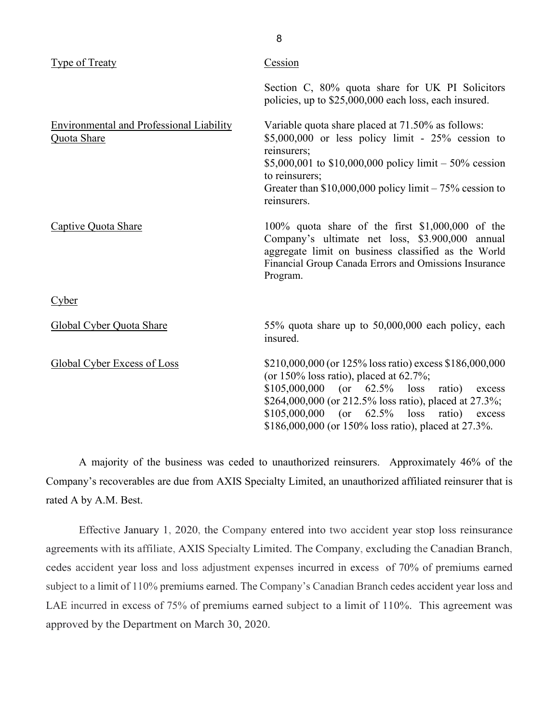| Type of Treaty                                                 | Cession                                                                                                                                                                                                                                                                                                                                      |
|----------------------------------------------------------------|----------------------------------------------------------------------------------------------------------------------------------------------------------------------------------------------------------------------------------------------------------------------------------------------------------------------------------------------|
|                                                                | Section C, 80% quota share for UK PI Solicitors<br>policies, up to \$25,000,000 each loss, each insured.                                                                                                                                                                                                                                     |
| <b>Environmental and Professional Liability</b><br>Quota Share | Variable quota share placed at 71.50% as follows:<br>$$5,000,000$ or less policy limit - 25% cession to<br>reinsurers;<br>\$5,000,001 to \$10,000,000 policy limit – 50% cession<br>to reinsurers;<br>Greater than $$10,000,000$ policy limit $-75\%$ cession to<br>reinsurers.                                                              |
| Captive Quota Share                                            | 100% quota share of the first $$1,000,000$ of the<br>Company's ultimate net loss, \$3.900,000 annual<br>aggregate limit on business classified as the World<br>Financial Group Canada Errors and Omissions Insurance<br>Program.                                                                                                             |
| Cyber                                                          |                                                                                                                                                                                                                                                                                                                                              |
| Global Cyber Quota Share                                       | 55% quota share up to 50,000,000 each policy, each<br>insured.                                                                                                                                                                                                                                                                               |
| Global Cyber Excess of Loss                                    | \$210,000,000 (or 125% loss ratio) excess \$186,000,000<br>(or $150\%$ loss ratio), placed at 62.7%;<br>$($ or<br>62.5%<br>\$105,000,000<br>loss ratio)<br>excess<br>\$264,000,000 (or 212.5% loss ratio), placed at 27.3%;<br>$$105,000,000$ (or 62.5%)<br>loss<br>ratio)<br>excess<br>\$186,000,000 (or 150% loss ratio), placed at 27.3%. |

 A majority of the business was ceded to unauthorized reinsurers. Approximately 46% of the Company's recoverables are due from AXIS Specialty Limited, an unauthorized affiliated reinsurer that is rated A by A.M. Best.

 LAE incurred in excess of 75% of premiums earned subject to a limit of 110%. This agreement was Effective January 1, 2020, the Company entered into two accident year stop loss reinsurance agreements with its affiliate, AXIS Specialty Limited. The Company, excluding the Canadian Branch, cedes accident year loss and loss adjustment expenses incurred in excess of 70% of premiums earned subject to a limit of 110% premiums earned. The Company's Canadian Branch cedes accident year loss and approved by the Department on March 30, 2020.

8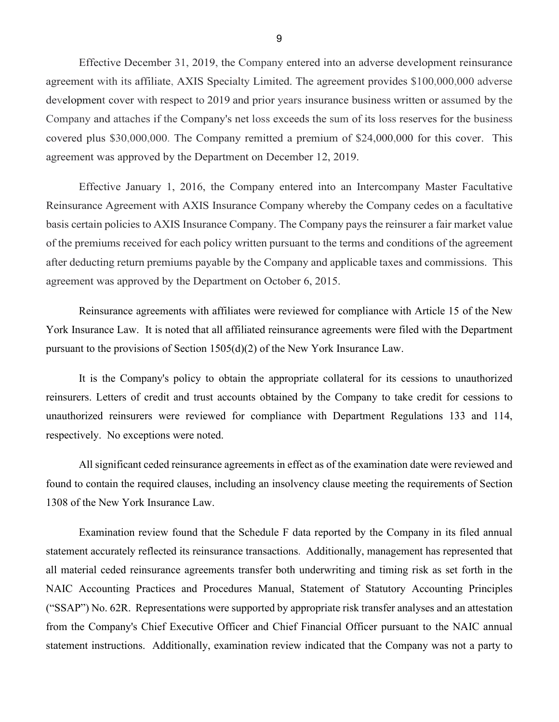development cover with respect to 2019 and prior years insurance business written or assumed by the covered plus \$30,000,000. The Company remitted a premium of \$24,000,000 for this cover. This agreement was approved by the Department on December 12, 2019. Effective December 31, 2019, the Company entered into an adverse development reinsurance agreement with its affiliate, AXIS Specialty Limited. The agreement provides \$100,000,000 adverse Company and attaches if the Company's net loss exceeds the sum of its loss reserves for the business

 basis certain policies to AXIS Insurance Company. The Company pays the reinsurer a fair market value of the premiums received for each policy written pursuant to the terms and conditions of the agreement after deducting return premiums payable by the Company and applicable taxes and commissions. This Effective January 1, 2016, the Company entered into an Intercompany Master Facultative Reinsurance Agreement with AXIS Insurance Company whereby the Company cedes on a facultative agreement was approved by the Department on October 6, 2015.

 York Insurance Law. It is noted that all affiliated reinsurance agreements were filed with the Department Reinsurance agreements with affiliates were reviewed for compliance with Article 15 of the New pursuant to the provisions of Section 1505(d)(2) of the New York Insurance Law.

 It is the Company's policy to obtain the appropriate collateral for its cessions to unauthorized respectively. No exceptions were noted. reinsurers. Letters of credit and trust accounts obtained by the Company to take credit for cessions to unauthorized reinsurers were reviewed for compliance with Department Regulations 133 and 114,

All significant ceded reinsurance agreements in effect as of the examination date were reviewed and found to contain the required clauses, including an insolvency clause meeting the requirements of Section 1308 of the New York Insurance Law.

 Examination review found that the Schedule F data reported by the Company in its filed annual statement accurately reflected its reinsurance transactions. Additionally, management has represented that all material ceded reinsurance agreements transfer both underwriting and timing risk as set forth in the NAIC Accounting Practices and Procedures Manual, Statement of Statutory Accounting Principles ("SSAP") No. 62R. Representations were supported by appropriate risk transfer analyses and an attestation from the Company's Chief Executive Officer and Chief Financial Officer pursuant to the NAIC annual statement instructions. Additionally, examination review indicated that the Company was not a party to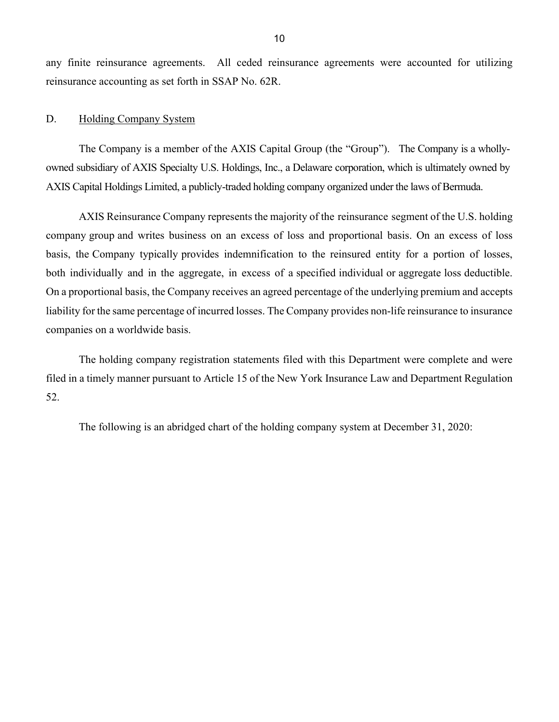any finite reinsurance agreements. All ceded reinsurance agreements were accounted for utilizing reinsurance accounting as set forth in SSAP No. 62R.

### <span id="page-11-0"></span>D. Holding Company System

 The Company is a member of the AXIS Capital Group (the "Group"). The Company is a whollyowned subsidiary of AXIS Specialty U.S. Holdings, Inc., a Delaware corporation, which is ultimately owned by AXIS Capital Holdings Limited, a publicly-traded holding company organized under the laws of Bermuda.

 AXIS Reinsurance Company represents the majority of the reinsurance segment of the U.S. holding company group and writes business on an excess of loss and proportional basis. On an excess of loss basis, the Company typically provides indemnification to the reinsured entity for a portion of losses, both individually and in the aggregate, in excess of a specified individual or aggregate loss deductible. liability for the same percentage of incurred losses. The Company provides non-life reinsurance to insurance On a proportional basis, the Company receives an agreed percentage of the underlying premium and accepts companies on a worldwide basis.

The holding company registration statements filed with this Department were complete and were filed in a timely manner pursuant to Article 15 of the New York Insurance Law and Department Regulation 52.

The following is an abridged chart of the holding company system at December 31, 2020: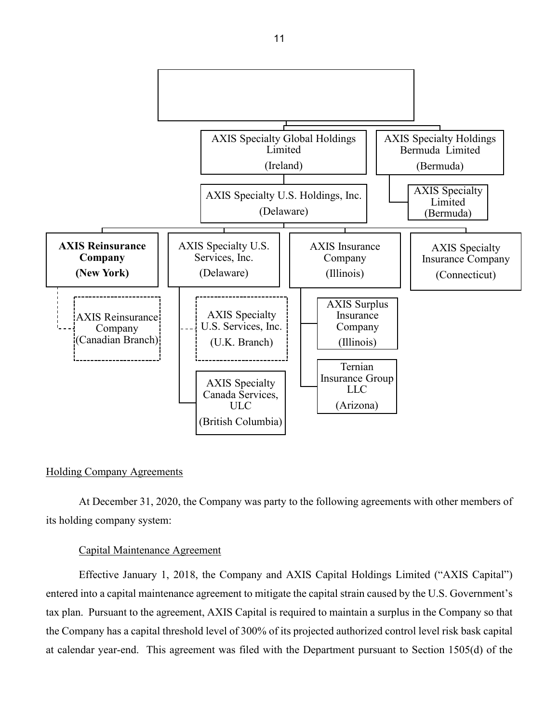

### Holding Company Agreements

its holding company system: At December 31, 2020, the Company was party to the following agreements with other members of

#### Capital Maintenance Agreement

Effective January 1, 2018, the Company and AXIS Capital Holdings Limited ("AXIS Capital") entered into a capital maintenance agreement to mitigate the capital strain caused by the U.S. Government's tax plan. Pursuant to the agreement, AXIS Capital is required to maintain a surplus in the Company so that the Company has a capital threshold level of 300% of its projected authorized control level risk bask capital at calendar year-end. This agreement was filed with the Department pursuant to Section 1505(d) of the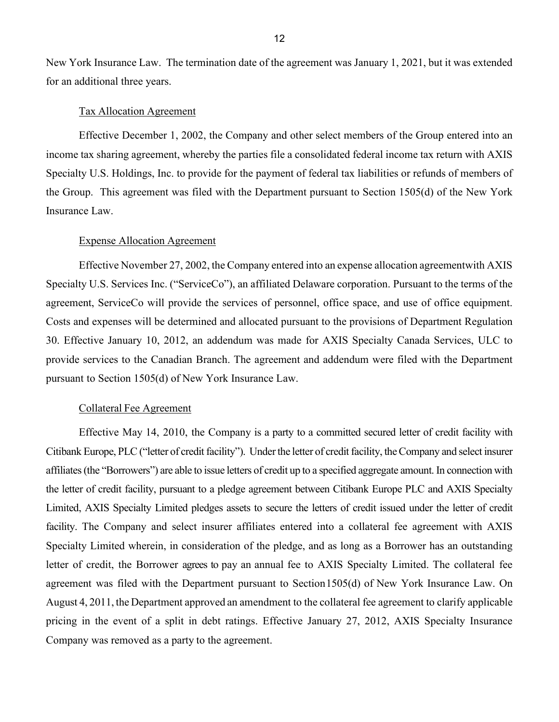New York Insurance Law. The termination date of the agreement was January 1, 2021, but it was extended for an additional three years.

### Tax Allocation Agreement

 income tax sharing agreement, whereby the parties file a consolidated federal income tax return with AXIS Effective December 1, 2002, the Company and other select members of the Group entered into an Specialty U.S. Holdings, Inc. to provide for the payment of federal tax liabilities or refunds of members of the Group. This agreement was filed with the Department pursuant to Section 1505(d) of the New York Insurance Law.

### Expense Allocation Agreement

 Effective November 27, 2002, the Company entered into an expense allocation agreementwith AXIS Specialty U.S. Services Inc. ("ServiceCo"), an affiliated Delaware corporation. Pursuant to the terms of the agreement, ServiceCo will provide the services of personnel, office space, and use of office equipment. 30. Effective January 10, 2012, an addendum was made for AXIS Specialty Canada Services, ULC to pursuant to Section 1505(d) of New York Insurance Law. Costs and expenses will be determined and allocated pursuant to the provisions of Department Regulation provide services to the Canadian Branch. The agreement and addendum were filed with the Department

### Collateral Fee Agreement

 Effective May 14, 2010, the Company is a party to a committed secured letter of credit facility with Citibank Europe, PLC ("letter of credit facility"). Under the letter of credit facility, the Company and select insurer affiliates (the "Borrowers") are able to issue letters of credit up to a specified aggregate amount. In connection with Limited, AXIS Specialty Limited pledges assets to secure the letters of credit issued under the letter of credit letter of credit, the Borrower agrees to pay an annual fee to AXIS Specialty Limited. The collateral fee agreement was filed with the Department pursuant to Section1505(d) of New York Insurance Law. On August 4, 2011, the Department approved an amendment to the collateral fee agreement to clarify applicable Company was removed as a party to the agreement. the letter of credit facility, pursuant to a pledge agreement between Citibank Europe PLC and AXIS Specialty facility. The Company and select insurer affiliates entered into a collateral fee agreement with AXIS Specialty Limited wherein, in consideration of the pledge, and as long as a Borrower has an outstanding pricing in the event of a split in debt ratings. Effective January 27, 2012, AXIS Specialty Insurance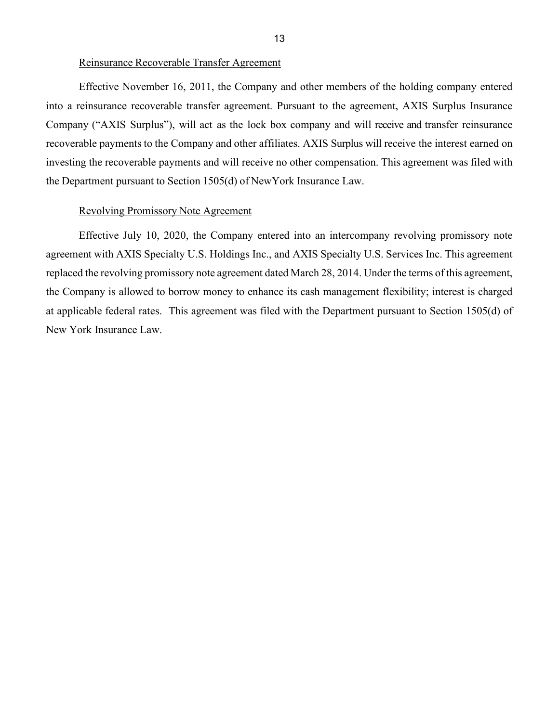### Reinsurance Recoverable Transfer Agreement

 into a reinsurance recoverable transfer agreement. Pursuant to the agreement, AXIS Surplus Insurance Company ("AXIS Surplus"), will act as the lock box company and will receive and transfer reinsurance recoverable payments to the Company and other affiliates. AXIS Surplus will receive the interest earned on investing the recoverable payments and will receive no other compensation. This agreement was filed with the Department pursuant to Section 1505(d) of NewYork Insurance Law. Effective November 16, 2011, the Company and other members of the holding company entered

### Revolving Promissory Note Agreement

 Effective July 10, 2020, the Company entered into an intercompany revolving promissory note the Company is allowed to borrow money to enhance its cash management flexibility; interest is charged at applicable federal rates. This agreement was filed with the Department pursuant to Section 1505(d) of agreement with AXIS Specialty U.S. Holdings Inc., and AXIS Specialty U.S. Services Inc. This agreement replaced the revolving promissory note agreement dated March 28, 2014. Under the terms of this agreement, New York Insurance Law.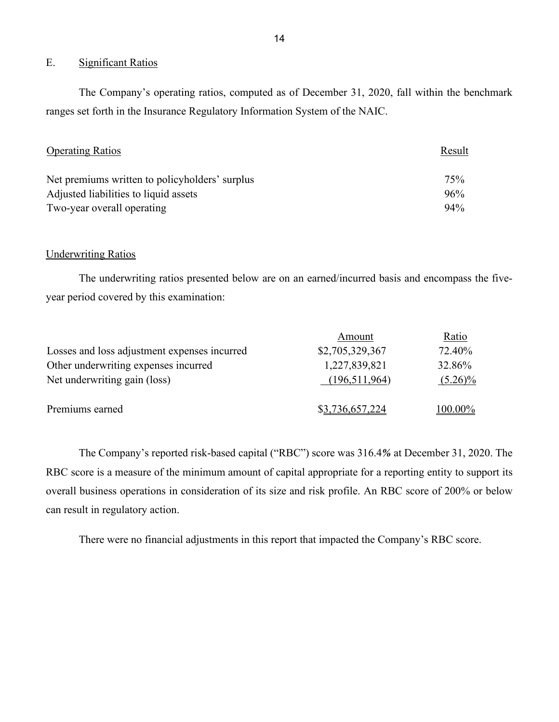### <span id="page-15-0"></span>E. Significant Ratios

 ranges set forth in the Insurance Regulatory Information System of the NAIC. The Company's operating ratios, computed as of December 31, 2020, fall within the benchmark

| <b>Operating Ratios</b>                        | Result |  |
|------------------------------------------------|--------|--|
| Net premiums written to policyholders' surplus | 75%    |  |
| Adjusted liabilities to liquid assets          | 96%    |  |
| Two-year overall operating                     | 94%    |  |

### **Underwriting Ratios**

The underwriting ratios presented below are on an earned/incurred basis and encompass the fiveyear period covered by this examination:

|                                              | Amount          | Ratio      |
|----------------------------------------------|-----------------|------------|
| Losses and loss adjustment expenses incurred | \$2,705,329,367 | 72.40%     |
| Other underwriting expenses incurred         | 1,227,839,821   | 32.86%     |
| Net underwriting gain (loss)                 | (196,511,964)   | $(5.26)\%$ |
| Premiums earned                              | \$3,736,657,224 | 100.00%    |

 The Company's reported risk-based capital ("RBC") score was 316.4*%* at December 31, 2020. The RBC score is a measure of the minimum amount of capital appropriate for a reporting entity to support its overall business operations in consideration of its size and risk profile. An RBC score of 200% or below can result in regulatory action.

There were no financial adjustments in this report that impacted the Company's RBC score.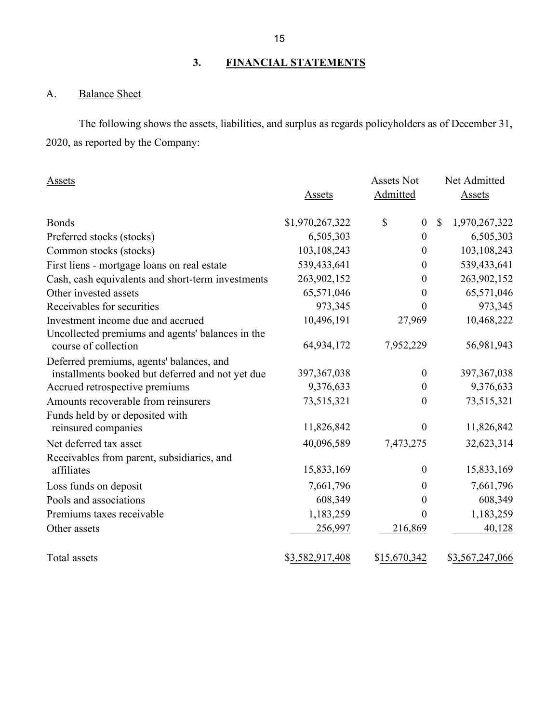# **3. FINANCIAL STATEMENTS**

# <span id="page-16-1"></span><span id="page-16-0"></span>A. Balance Sheet

 2020, as reported by the Company: The following shows the assets, liabilities, and surplus as regards policyholders as of December 31,

| Assets                                                                                       |                 | <b>Assets Not</b>      | Net Admitted                   |
|----------------------------------------------------------------------------------------------|-----------------|------------------------|--------------------------------|
|                                                                                              | Assets          | Admitted               | Assets                         |
| <b>Bonds</b>                                                                                 | \$1,970,267,322 | \$<br>$\boldsymbol{0}$ | $\mathcal{S}$<br>1,970,267,322 |
| Preferred stocks (stocks)                                                                    | 6,505,303       | $\boldsymbol{0}$       | 6,505,303                      |
| Common stocks (stocks)                                                                       | 103,108,243     | $\boldsymbol{0}$       | 103,108,243                    |
| First liens - mortgage loans on real estate                                                  | 539,433,641     | $\boldsymbol{0}$       | 539,433,641                    |
| Cash, cash equivalents and short-term investments                                            | 263,902,152     | $\boldsymbol{0}$       | 263,902,152                    |
| Other invested assets                                                                        | 65,571,046      | 0                      | 65,571,046                     |
| Receivables for securities                                                                   | 973,345         | 0                      | 973,345                        |
| Investment income due and accrued                                                            | 10,496,191      | 27,969                 | 10,468,222                     |
| Uncollected premiums and agents' balances in the<br>course of collection                     | 64,934,172      | 7,952,229              | 56,981,943                     |
| Deferred premiums, agents' balances, and<br>installments booked but deferred and not yet due | 397, 367, 038   | $\boldsymbol{0}$       | 397, 367, 038                  |
| Accrued retrospective premiums                                                               | 9,376,633       | $\boldsymbol{0}$       | 9,376,633                      |
| Amounts recoverable from reinsurers                                                          | 73,515,321      | $\boldsymbol{0}$       | 73,515,321                     |
| Funds held by or deposited with<br>reinsured companies                                       | 11,826,842      | $\boldsymbol{0}$       | 11,826,842                     |
| Net deferred tax asset                                                                       | 40,096,589      | 7,473,275              | 32,623,314                     |
| Receivables from parent, subsidiaries, and                                                   |                 |                        |                                |
| affiliates                                                                                   | 15,833,169      | $\boldsymbol{0}$       | 15,833,169                     |
| Loss funds on deposit                                                                        | 7,661,796       | 0                      | 7,661,796                      |
| Pools and associations                                                                       | 608,349         | $\boldsymbol{0}$       | 608,349                        |
| Premiums taxes receivable                                                                    | 1,183,259       | 0                      | 1,183,259                      |
| Other assets                                                                                 | 256,997         | 216,869                | 40,128                         |
| Total assets                                                                                 | \$3,582,917,408 | \$15,670,342           | \$3,567,247,066                |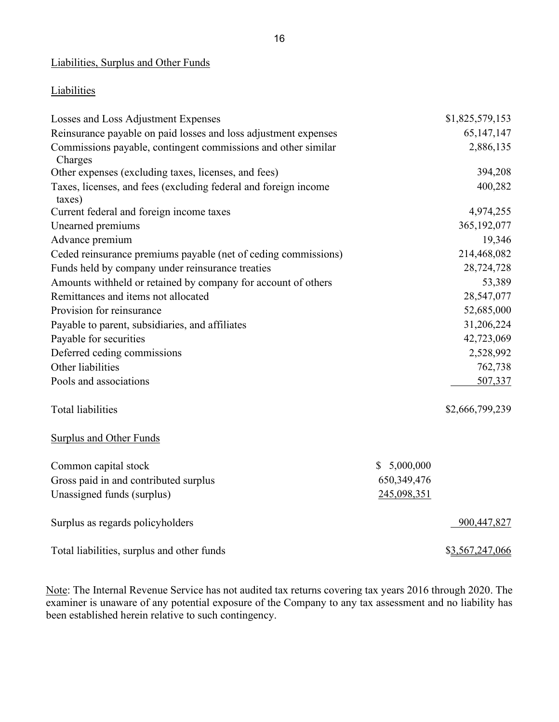### Liabilities, Surplus and Other Funds

### **Liabilities**

| Losses and Loss Adjustment Expenses                                       |             | \$1,825,579,153 |
|---------------------------------------------------------------------------|-------------|-----------------|
| Reinsurance payable on paid losses and loss adjustment expenses           |             | 65, 147, 147    |
| Commissions payable, contingent commissions and other similar<br>Charges  |             | 2,886,135       |
| Other expenses (excluding taxes, licenses, and fees)                      |             | 394,208         |
| Taxes, licenses, and fees (excluding federal and foreign income<br>taxes) |             | 400,282         |
| Current federal and foreign income taxes                                  |             | 4,974,255       |
| Unearned premiums                                                         |             | 365, 192, 077   |
| Advance premium                                                           |             | 19,346          |
| Ceded reinsurance premiums payable (net of ceding commissions)            |             | 214,468,082     |
| Funds held by company under reinsurance treaties                          |             | 28,724,728      |
| Amounts withheld or retained by company for account of others             |             | 53,389          |
| Remittances and items not allocated                                       |             | 28,547,077      |
| Provision for reinsurance                                                 |             | 52,685,000      |
| Payable to parent, subsidiaries, and affiliates                           |             | 31,206,224      |
| Payable for securities                                                    |             | 42,723,069      |
| Deferred ceding commissions                                               |             | 2,528,992       |
| Other liabilities                                                         |             | 762,738         |
| Pools and associations                                                    |             | 507,337         |
| <b>Total liabilities</b>                                                  |             | \$2,666,799,239 |
| Surplus and Other Funds                                                   |             |                 |
| Common capital stock                                                      | \$5,000,000 |                 |
| Gross paid in and contributed surplus                                     | 650,349,476 |                 |
| Unassigned funds (surplus)                                                | 245,098,351 |                 |
| Surplus as regards policyholders                                          |             | 900,447,827     |
| Total liabilities, surplus and other funds                                |             | \$3,567,247,066 |

Note: The Internal Revenue Service has not audited tax returns covering tax years 2016 through 2020. The examiner is unaware of any potential exposure of the Company to any tax assessment and no liability has been established herein relative to such contingency.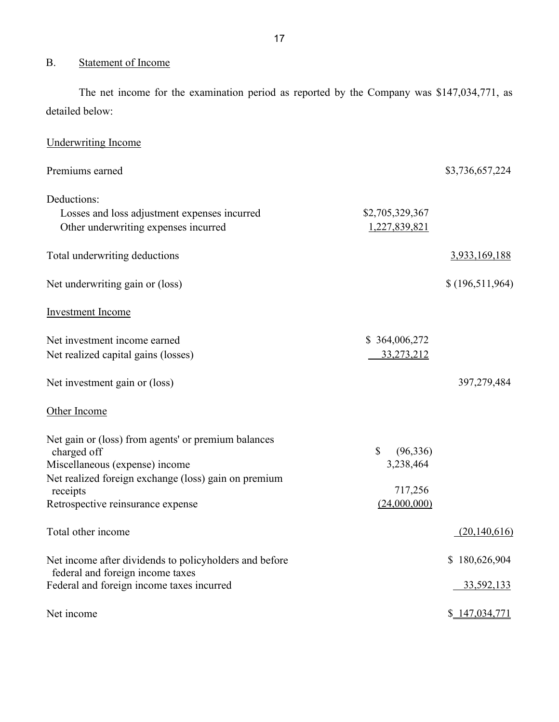# <span id="page-18-0"></span>B. Statement of Income

 The net income for the examination period as reported by the Company was \$147,034,771, as detailed below:

| <b>Underwriting Income</b>                                                                                                                                                                                    |                                                                   |                             |
|---------------------------------------------------------------------------------------------------------------------------------------------------------------------------------------------------------------|-------------------------------------------------------------------|-----------------------------|
| Premiums earned                                                                                                                                                                                               |                                                                   | \$3,736,657,224             |
| Deductions:<br>Losses and loss adjustment expenses incurred<br>Other underwriting expenses incurred                                                                                                           | \$2,705,329,367<br>1,227,839,821                                  |                             |
| Total underwriting deductions                                                                                                                                                                                 |                                                                   | 3,933,169,188               |
| Net underwriting gain or (loss)                                                                                                                                                                               |                                                                   | \$(196,511,964)             |
| <b>Investment Income</b>                                                                                                                                                                                      |                                                                   |                             |
| Net investment income earned<br>Net realized capital gains (losses)                                                                                                                                           | \$364,006,272<br>33,273,212                                       |                             |
| Net investment gain or (loss)                                                                                                                                                                                 |                                                                   | 397,279,484                 |
| Other Income                                                                                                                                                                                                  |                                                                   |                             |
| Net gain or (loss) from agents' or premium balances<br>charged off<br>Miscellaneous (expense) income<br>Net realized foreign exchange (loss) gain on premium<br>receipts<br>Retrospective reinsurance expense | $\mathbb{S}$<br>(96, 336)<br>3,238,464<br>717,256<br>(24,000,000) |                             |
| Total other income                                                                                                                                                                                            |                                                                   | (20, 140, 616)              |
| Net income after dividends to policyholders and before<br>federal and foreign income taxes<br>Federal and foreign income taxes incurred                                                                       |                                                                   | \$180,626,904<br>33,592,133 |
| Net income                                                                                                                                                                                                    |                                                                   | \$ 147,034,771              |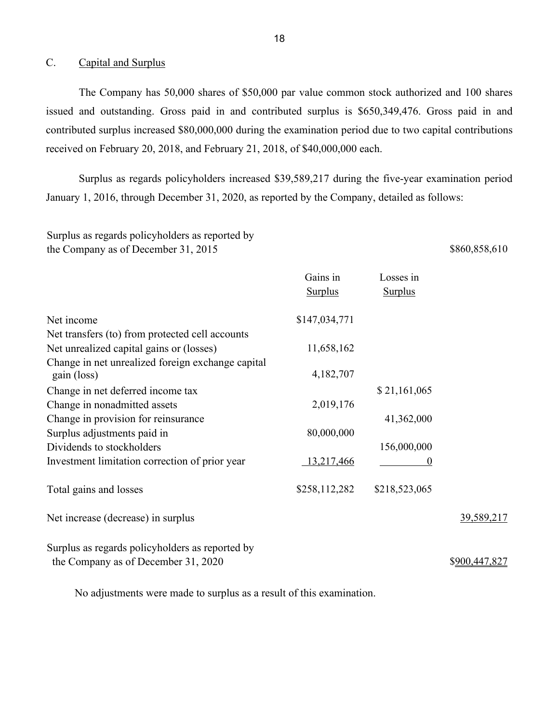### <span id="page-19-0"></span>C. Capital and Surplus

 issued and outstanding. Gross paid in and contributed surplus is \$650,349,476. Gross paid in and The Company has 50,000 shares of \$50,000 par value common stock authorized and 100 shares contributed surplus increased \$80,000,000 during the examination period due to two capital contributions received on February 20, 2018, and February 21, 2018, of \$40,000,000 each.

 Surplus as regards policyholders increased \$39,589,217 during the five-year examination period January 1, 2016, through December 31, 2020, as reported by the Company, detailed as follows:

Surplus as regards policyholders as reported by the Company as of December 31, 2015 \$860,858,610

|                                                                                        | Gains in<br><b>Surplus</b> | Losses in<br><b>Surplus</b> |               |
|----------------------------------------------------------------------------------------|----------------------------|-----------------------------|---------------|
| Net income                                                                             | \$147,034,771              |                             |               |
| Net transfers (to) from protected cell accounts                                        |                            |                             |               |
| Net unrealized capital gains or (losses)                                               | 11,658,162                 |                             |               |
| Change in net unrealized foreign exchange capital<br>gain (loss)                       | 4,182,707                  |                             |               |
| Change in net deferred income tax                                                      |                            | \$21,161,065                |               |
| Change in nonadmitted assets                                                           | 2,019,176                  |                             |               |
| Change in provision for reinsurance                                                    |                            | 41,362,000                  |               |
| Surplus adjustments paid in                                                            | 80,000,000                 |                             |               |
| Dividends to stockholders                                                              |                            | 156,000,000                 |               |
| Investment limitation correction of prior year                                         | <u>13,217,466</u>          | $_{0}$                      |               |
| Total gains and losses                                                                 | \$258,112,282              | \$218,523,065               |               |
| Net increase (decrease) in surplus                                                     |                            |                             | 39,589,217    |
| Surplus as regards policyholders as reported by<br>the Company as of December 31, 2020 |                            |                             | \$900,447,827 |

No adjustments were made to surplus as a result of this examination.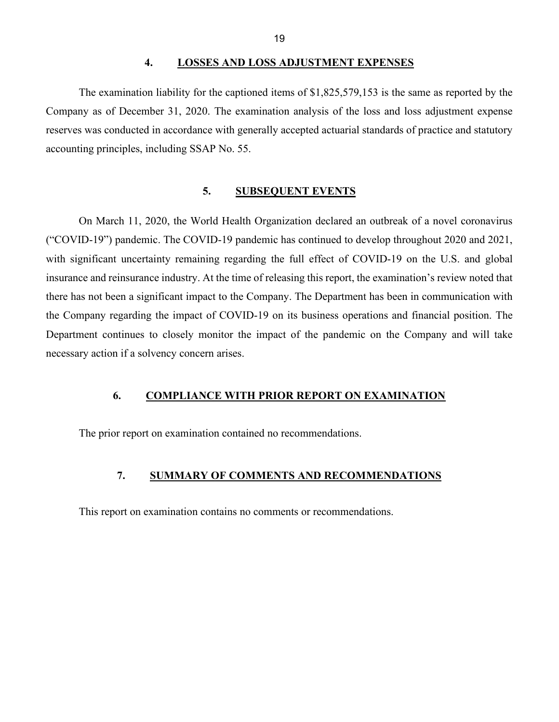#### **4. LOSSES AND LOSS ADJUSTMENT EXPENSES**

<span id="page-20-0"></span>The examination liability for the captioned items of \$1,825,579,153 is the same as reported by the Company as of December 31, 2020. The examination analysis of the loss and loss adjustment expense reserves was conducted in accordance with generally accepted actuarial standards of practice and statutory accounting principles, including SSAP No. 55.

### **5. SUBSEQUENT EVENTS**

<span id="page-20-1"></span> with significant uncertainty remaining regarding the full effect of COVID-19 on the U.S. and global necessary action if a solvency concern arises. On March 11, 2020, the World Health Organization declared an outbreak of a novel coronavirus ("COVID-19") pandemic. The COVID-19 pandemic has continued to develop throughout 2020 and 2021, insurance and reinsurance industry. At the time of releasing this report, the examination's review noted that there has not been a significant impact to the Company. The Department has been in communication with the Company regarding the impact of COVID-19 on its business operations and financial position. The Department continues to closely monitor the impact of the pandemic on the Company and will take

### <span id="page-20-2"></span>**6. COMPLIANCE WITH PRIOR REPORT ON EXAMINATION**

<span id="page-20-3"></span>The prior report on examination contained no recommendations.

### **7. SUMMARY OF COMMENTS AND RECOMMENDATIONS**

This report on examination contains no comments or recommendations.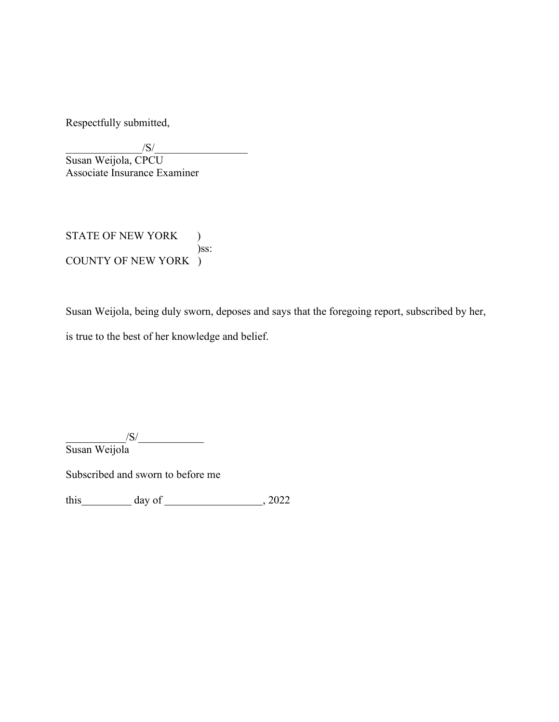Respectfully submitted,

 $\frac{|S|}{|S|}$ 

Susan Weijola, CPCU Associate Insurance Examiner

STATE OF NEW YORK ) )ss: COUNTY OF NEW YORK )

Susan Weijola, being duly sworn, deposes and says that the foregoing report, subscribed by her, is true to the best of her knowledge and belief.

 $\sqrt{S}/\sqrt{S}$ Susan Weijola

Subscribed and sworn to before me

this  $\frac{day \text{ of } (x,y) - (x,y) - (x,y) \text{ of } (x,y) - (y,y) \text{ of } (x,y) \text{ of } (x,y)$